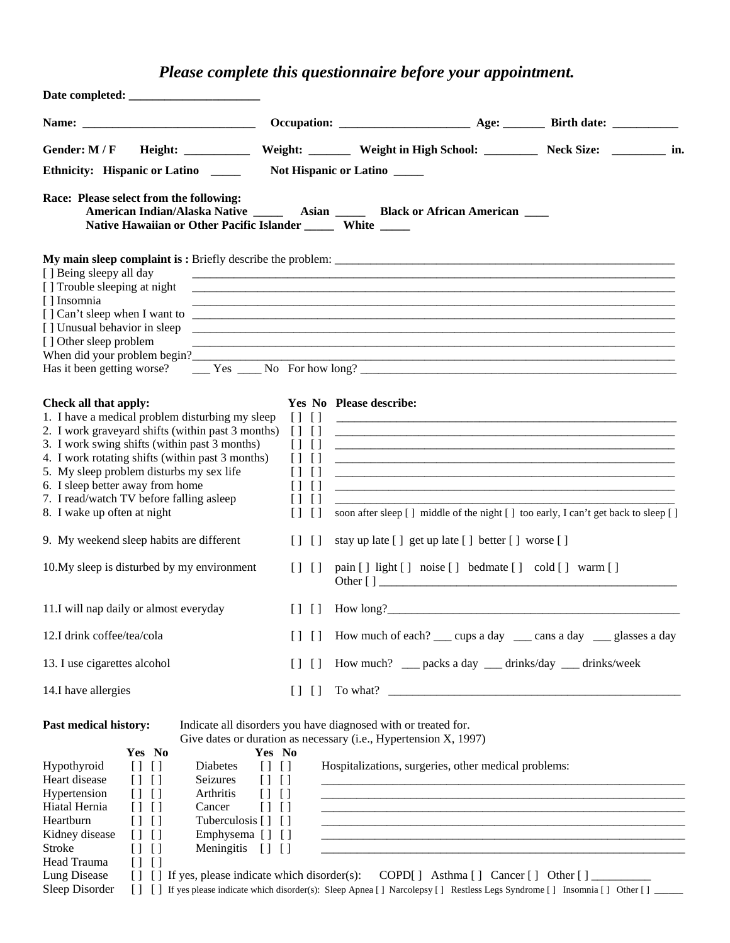# *Please complete this questionnaire before your appointment.*

| Gender: M / F                                                                                                                                                                                                                                                                                                                                                                                                                                                                                           |                                                                                                                                                                                | Weight: ________ Weight in High School: _________ Neck Size: ________<br>in.                                                                                                                                                                                                                                                                                                                                                   |
|---------------------------------------------------------------------------------------------------------------------------------------------------------------------------------------------------------------------------------------------------------------------------------------------------------------------------------------------------------------------------------------------------------------------------------------------------------------------------------------------------------|--------------------------------------------------------------------------------------------------------------------------------------------------------------------------------|--------------------------------------------------------------------------------------------------------------------------------------------------------------------------------------------------------------------------------------------------------------------------------------------------------------------------------------------------------------------------------------------------------------------------------|
| Ethnicity: Hispanic or Latino                                                                                                                                                                                                                                                                                                                                                                                                                                                                           |                                                                                                                                                                                | Not Hispanic or Latino                                                                                                                                                                                                                                                                                                                                                                                                         |
| Race: Please select from the following:<br>Native Hawaiian or Other Pacific Islander _______ White _____                                                                                                                                                                                                                                                                                                                                                                                                |                                                                                                                                                                                | American Indian/Alaska Native _______ Asian _______ Black or African American ____                                                                                                                                                                                                                                                                                                                                             |
| [] Being sleepy all day<br>[] Trouble sleeping at night<br>[] Insomnia<br>[] Unusual behavior in sleep<br>[] Other sleep problem<br>When did your problem begin?                                                                                                                                                                                                                                                                                                                                        |                                                                                                                                                                                |                                                                                                                                                                                                                                                                                                                                                                                                                                |
| Check all that apply:<br>1. I have a medical problem disturbing my sleep<br>2. I work graveyard shifts (within past 3 months)<br>3. I work swing shifts (within past 3 months)<br>4. I work rotating shifts (within past 3 months)<br>5. My sleep problem disturbs my sex life<br>6. I sleep better away from home<br>7. I read/watch TV before falling asleep<br>8. I wake up often at night                                                                                                           | $\lceil$<br>$\Box$<br>$\left[ \ \right]$<br>$\lceil$<br>$\Box$<br>$\Box$<br>$\Box$<br>$\Box$<br>$\Box$<br>$\lceil$<br>$\Box$<br>$\Box$<br>$\Box$<br>$\Box$<br>$\Box$<br>$\Box$ | Yes No Please describe:<br><u> 1999 - Jan James James James James James James James James James James James James James James James James J</u><br>soon after sleep [] middle of the night [] too early, I can't get back to sleep []                                                                                                                                                                                          |
| 9. My weekend sleep habits are different                                                                                                                                                                                                                                                                                                                                                                                                                                                                | $\Box$<br>$\Box$                                                                                                                                                               | stay up late [ ] get up late [ ] better [ ] worse [ ]                                                                                                                                                                                                                                                                                                                                                                          |
| 10. My sleep is disturbed by my environment                                                                                                                                                                                                                                                                                                                                                                                                                                                             | $[ ]$ $[ ]$                                                                                                                                                                    | pain [] light [] noise [] bedmate [] cold [] warm []<br>Other $\lceil \cdot \rceil$                                                                                                                                                                                                                                                                                                                                            |
| 11.I will nap daily or almost everyday                                                                                                                                                                                                                                                                                                                                                                                                                                                                  | $\Box$                                                                                                                                                                         |                                                                                                                                                                                                                                                                                                                                                                                                                                |
| 12.I drink coffee/tea/cola                                                                                                                                                                                                                                                                                                                                                                                                                                                                              | $\Box$<br>$\Box$                                                                                                                                                               | How much of each? ____ cups a day _____ cans a day _____ glasses a day                                                                                                                                                                                                                                                                                                                                                         |
| 13. I use cigarettes alcohol                                                                                                                                                                                                                                                                                                                                                                                                                                                                            | $\Box$<br>$\Box$                                                                                                                                                               | How much? __ packs a day __ drinks/day __ drinks/week                                                                                                                                                                                                                                                                                                                                                                          |
| 14.I have allergies                                                                                                                                                                                                                                                                                                                                                                                                                                                                                     | $[$ $[$ $[$ $]$                                                                                                                                                                |                                                                                                                                                                                                                                                                                                                                                                                                                                |
| <b>Past medical history:</b><br>Yes No<br>Hypothyroid<br>$\lceil$<br>Diabetes<br>$\Box$<br>Heart disease<br>Seizures<br>$[ ]$ $[ ]$<br>Hypertension<br>Arthritis<br>$[1 \; 1]$<br>Hiatal Hernia<br>$[1 \; 1]$<br>Cancer<br>Heartburn<br>Tuberculosis [ ] [ ]<br>$[1 \; 1]$<br>Emphysema [] []<br>Kidney disease<br>[1]<br><b>Stroke</b><br>Meningitis [] []<br>$\Box$<br>$\lceil$<br>Head Trauma<br>[1]<br>Lung Disease<br>$\begin{array}{c} \square \end{array}$<br>$\Box$<br>Sleep Disorder<br>$\Box$ | Yes No<br>[1]<br>$[ ]$ $[ ]$<br>$[1 \; 1]$<br>$[ ]$ $[ ]$                                                                                                                      | Indicate all disorders you have diagnosed with or treated for.<br>Give dates or duration as necessary (i.e., Hypertension X, 1997)<br>Hospitalizations, surgeries, other medical problems:<br>If yes, please indicate which disorder(s): COPD[] Asthma [] Cancer [] Other [] _____________________<br>If yes please indicate which disorder(s): Sleep Apnea [] Narcolepsy [] Restless Legs Syndrome [] Insomnia [] Other [] __ |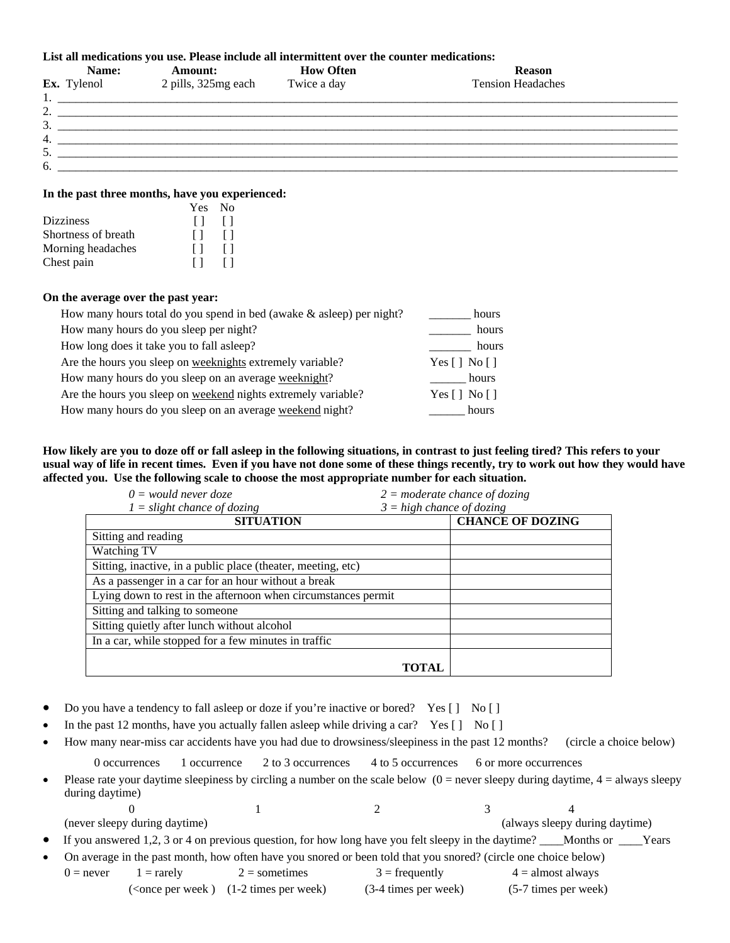#### **List all medications you use. Please include all intermittent over the counter medications:**

|                               | Name:              | <b>Amount:</b>      | <b>How Often</b> | <b>Reason</b>            |  |
|-------------------------------|--------------------|---------------------|------------------|--------------------------|--|
|                               | <b>Ex.</b> Tylenol | 2 pills, 325mg each | Twice a day      | <b>Tension Headaches</b> |  |
| . .                           |                    |                     |                  |                          |  |
| ◠<br>$\overline{\phantom{a}}$ |                    |                     |                  |                          |  |
| 3.                            |                    |                     |                  |                          |  |
| 4.                            |                    |                     |                  |                          |  |
| 5.                            |                    |                     |                  |                          |  |
| 6.                            |                    |                     |                  |                          |  |

#### **In the past three months, have you experienced:**

|                     | Yes No  |              |
|---------------------|---------|--------------|
| <b>Dizziness</b>    | $\Box$  | $\perp$      |
| Shortness of breath | $\perp$ | $\perp$      |
| Morning headaches   | $\perp$ | $\Box$       |
| Chest pain          | $\perp$ | $\mathsf{L}$ |

#### **On the average over the past year:**

| How many hours total do you spend in bed (awake $\&$ asleep) per night? | hours                                              |
|-------------------------------------------------------------------------|----------------------------------------------------|
| How many hours do you sleep per night?                                  | hours                                              |
| How long does it take you to fall as leep?                              | hours                                              |
| Are the hours you sleep on weeknights extremely variable?               | Yes $[ \ ]$ No $[ \ ]$                             |
| How many hours do you sleep on an average weeknight?                    | hours                                              |
| Are the hours you sleep on weekend nights extremely variable?           | Yes $\lceil \cdot \rceil$ No $\lceil \cdot \rceil$ |
| How many hours do you sleep on an average weekend night?                | hours                                              |

**How likely are you to doze off or fall asleep in the following situations, in contrast to just feeling tired? This refers to your usual way of life in recent times. Even if you have not done some of these things recently, try to work out how they would have affected you. Use the following scale to choose the most appropriate number for each situation.** 

| $1 =$ slight chance of dozing                                 | $3 = high$ chance of dozing |                         |
|---------------------------------------------------------------|-----------------------------|-------------------------|
| <b>SITUATION</b>                                              |                             | <b>CHANCE OF DOZING</b> |
| Sitting and reading                                           |                             |                         |
| Watching TV                                                   |                             |                         |
| Sitting, inactive, in a public place (theater, meeting, etc)  |                             |                         |
| As a passenger in a car for an hour without a break           |                             |                         |
| Lying down to rest in the afternoon when circumstances permit |                             |                         |
| Sitting and talking to someone                                |                             |                         |
| Sitting quietly after lunch without alcohol                   |                             |                         |
| In a car, while stopped for a few minutes in traffic          |                             |                         |
|                                                               |                             |                         |
|                                                               | <b>TOTAL</b>                |                         |

- Do you have a tendency to fall asleep or doze if you're inactive or bored? Yes [] No []
- In the past 12 months, have you actually fallen asleep while driving a car? Yes  $\begin{bmatrix} 1 \\ 1 \end{bmatrix}$  No  $\begin{bmatrix} 1 \\ 1 \end{bmatrix}$
- How many near-miss car accidents have you had due to drowsiness/sleepiness in the past 12 months? (circle a choice below)

0 occurrences 1 occurrence 2 to 3 occurrences 4 to 5 occurrences 6 or more occurrences

| Please rate your daytime sleepiness by circling a number on the scale below $(0 =$ never sleepy during daytime, $4 =$ always sleepy |
|-------------------------------------------------------------------------------------------------------------------------------------|
| during daytime)                                                                                                                     |

0  $1$  2 3 4 (never sleepy during daytime) (always sleepy during daytime)

If you answered 1,2, 3 or 4 on previous question, for how long have you felt sleepy in the daytime? \_\_\_Months or \_\_\_Years

• On average in the past month, how often have you snored or been told that you snored? (circle one choice below)

 $0 =$  never  $1 =$  rarely  $2 =$  sometimes  $3 =$  frequently  $4 =$  almost always (<once per week ) (1-2 times per week) (3-4 times per week) (5-7 times per week)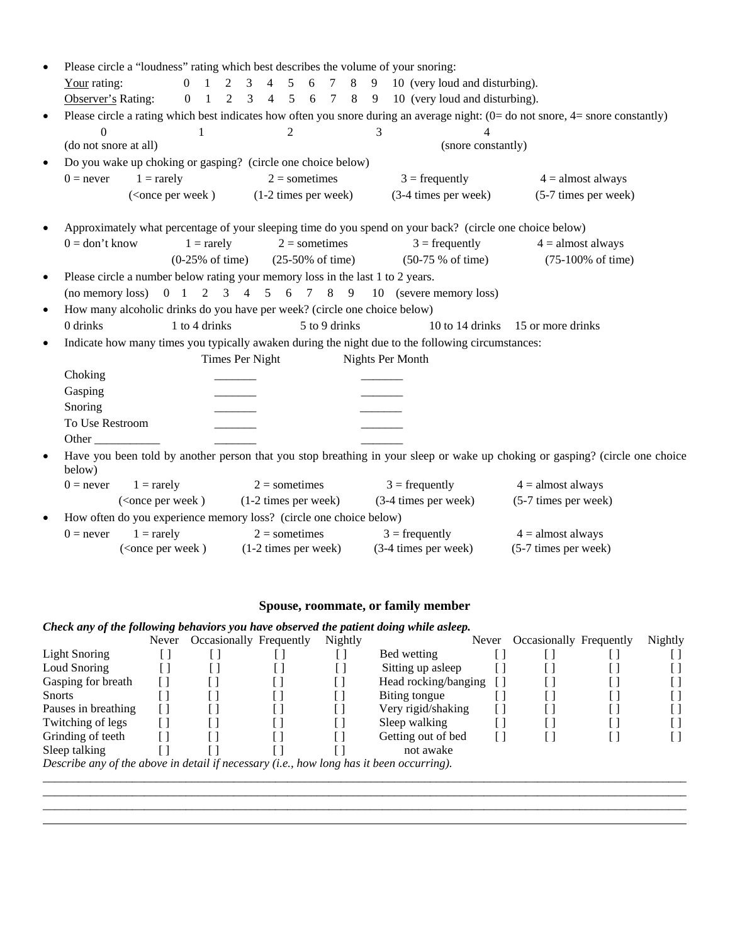|           | Please circle a "loudness" rating which best describes the volume of your snoring: |                                                                                                                                                                       |                 |                             |               |   |                                                                                                          |                                                                                                                                     |
|-----------|------------------------------------------------------------------------------------|-----------------------------------------------------------------------------------------------------------------------------------------------------------------------|-----------------|-----------------------------|---------------|---|----------------------------------------------------------------------------------------------------------|-------------------------------------------------------------------------------------------------------------------------------------|
|           | Your rating:                                                                       |                                                                                                                                                                       |                 |                             |               |   | 0 1 2 3 4 5 6 7 8 9 10 (very loud and disturbing).                                                       |                                                                                                                                     |
|           | Observer's Rating:                                                                 |                                                                                                                                                                       |                 |                             |               |   | 0 1 2 3 4 5 6 7 8 9 10 (very loud and disturbing).                                                       |                                                                                                                                     |
| $\bullet$ |                                                                                    |                                                                                                                                                                       |                 |                             |               |   |                                                                                                          | Please circle a rating which best indicates how often you snore during an average night: $(0=$ do not snore, $4=$ snore constantly) |
|           | $\theta$                                                                           | 1                                                                                                                                                                     |                 | $\overline{2}$              |               | 3 | 4                                                                                                        |                                                                                                                                     |
|           | (do not snore at all)                                                              |                                                                                                                                                                       |                 |                             |               |   | (snore constantly)                                                                                       |                                                                                                                                     |
| $\bullet$ | Do you wake up choking or gasping? (circle one choice below)                       |                                                                                                                                                                       |                 |                             |               |   |                                                                                                          |                                                                                                                                     |
|           | $1 = \text{rarely}$<br>$0 =$ never                                                 |                                                                                                                                                                       |                 | $2 =$ sometimes             |               |   | $3 = \text{frequently}$                                                                                  | $4 =$ almost always                                                                                                                 |
|           |                                                                                    | ( <once (1-2="" per="" th="" times="" week)="" week)<=""><th></th><th></th><th></th><th></th><th>(3-4 times per week)</th><th>(5-7 times per week)</th></once>        |                 |                             |               |   | (3-4 times per week)                                                                                     | (5-7 times per week)                                                                                                                |
| $\bullet$ |                                                                                    |                                                                                                                                                                       |                 |                             |               |   | Approximately what percentage of your sleeping time do you spend on your back? (circle one choice below) |                                                                                                                                     |
|           | $0 =$ don't know                                                                   | $1 = \text{rarely}$                                                                                                                                                   |                 | $2 =$ sometimes             |               |   | $3 = \text{frequently}$                                                                                  | $4 =$ almost always                                                                                                                 |
|           |                                                                                    | $(0-25\% \text{ of time})$                                                                                                                                            |                 | $(25-50\% \text{ of time})$ |               |   | $(50-75 % of time)$                                                                                      | $(75-100\% \text{ of time})$                                                                                                        |
| $\bullet$ | Please circle a number below rating your memory loss in the last 1 to 2 years.     |                                                                                                                                                                       |                 |                             |               |   |                                                                                                          |                                                                                                                                     |
|           |                                                                                    |                                                                                                                                                                       |                 |                             |               |   | (no memory loss) $0 \t1 \t2 \t3 \t4 \t5 \t6 \t7 \t8 \t9 \t10$ (severe memory loss)                       |                                                                                                                                     |
| $\bullet$ | How many alcoholic drinks do you have per week? (circle one choice below)          |                                                                                                                                                                       |                 |                             |               |   |                                                                                                          |                                                                                                                                     |
|           | 0 drinks                                                                           | 1 to 4 drinks                                                                                                                                                         |                 |                             | 5 to 9 drinks |   |                                                                                                          | 10 to 14 drinks 15 or more drinks                                                                                                   |
| $\bullet$ |                                                                                    |                                                                                                                                                                       |                 |                             |               |   | Indicate how many times you typically awaken during the night due to the following circumstances:        |                                                                                                                                     |
|           |                                                                                    |                                                                                                                                                                       | Times Per Night |                             |               |   | Nights Per Month                                                                                         |                                                                                                                                     |
|           | Choking                                                                            |                                                                                                                                                                       |                 |                             |               |   |                                                                                                          |                                                                                                                                     |
|           | Gasping                                                                            |                                                                                                                                                                       |                 |                             |               |   |                                                                                                          |                                                                                                                                     |
|           | Snoring                                                                            |                                                                                                                                                                       |                 |                             |               |   |                                                                                                          |                                                                                                                                     |
|           | To Use Restroom                                                                    |                                                                                                                                                                       |                 |                             |               |   |                                                                                                          |                                                                                                                                     |
|           | Other                                                                              |                                                                                                                                                                       |                 |                             |               |   |                                                                                                          |                                                                                                                                     |
| $\bullet$ | below)                                                                             |                                                                                                                                                                       |                 |                             |               |   |                                                                                                          | Have you been told by another person that you stop breathing in your sleep or wake up choking or gasping? (circle one choice        |
|           | $0 =$ never<br>$1 = \text{rarely}$                                                 |                                                                                                                                                                       |                 | $2 =$ sometimes             |               |   | $3 = \text{frequently}$                                                                                  | $4 =$ almost always                                                                                                                 |
|           |                                                                                    | ( <once per="" th="" week)<=""><th></th><th>(1-2 times per week)</th><th></th><th></th><th>(3-4 times per week)</th><th>(5-7 times per week)</th></once>              |                 | (1-2 times per week)        |               |   | (3-4 times per week)                                                                                     | (5-7 times per week)                                                                                                                |
| $\bullet$ | How often do you experience memory loss? (circle one choice below)                 |                                                                                                                                                                       |                 |                             |               |   |                                                                                                          |                                                                                                                                     |
|           | $1 = \text{rarely}$<br>$0 =$ never                                                 |                                                                                                                                                                       |                 | $2 =$ sometimes             |               |   | $3 = \text{frequently}$                                                                                  | $4 =$ almost always                                                                                                                 |
|           |                                                                                    | ( <once (1-2="" per="" th="" times="" week)="" week)<=""><th></th><th></th><th></th><th></th><th><math>(3-4 \times 1)</math></th><th>(5-7 times per week)</th></once> |                 |                             |               |   | $(3-4 \times 1)$                                                                                         | (5-7 times per week)                                                                                                                |
|           |                                                                                    |                                                                                                                                                                       |                 |                             |               |   |                                                                                                          |                                                                                                                                     |

## **Spouse, roommate, or family member**

### *Check any of the following behaviors you have observed the patient doing while asleep.*

|                                                                                          | Never                    | Occasionally Frequently | Nightly |                      | Never | Occasionally Frequently | Nightly |
|------------------------------------------------------------------------------------------|--------------------------|-------------------------|---------|----------------------|-------|-------------------------|---------|
| <b>Light Snoring</b>                                                                     |                          |                         |         | Bed wetting          |       |                         |         |
| Loud Snoring                                                                             | $\overline{\phantom{a}}$ |                         |         | Sitting up asleep    |       |                         |         |
| Gasping for breath                                                                       |                          |                         |         | Head rocking/banging |       |                         |         |
| <b>Snorts</b>                                                                            |                          |                         | Ш       | Biting tongue        |       |                         |         |
| Pauses in breathing                                                                      |                          |                         |         | Very rigid/shaking   |       |                         |         |
| Twitching of legs                                                                        |                          |                         | L       | Sleep walking        |       |                         |         |
| Grinding of teeth                                                                        |                          |                         |         | Getting out of bed   |       |                         |         |
| Sleep talking                                                                            |                          |                         |         | not awake            |       |                         |         |
| Describe any of the above in detail if necessary (i.e., how long has it been occurring). |                          |                         |         |                      |       |                         |         |
|                                                                                          |                          |                         |         |                      |       |                         |         |

*\_\_\_\_\_\_\_\_\_\_\_\_\_\_\_\_\_\_\_\_\_\_\_\_\_\_\_\_\_\_\_\_\_\_\_\_\_\_\_\_\_\_\_\_\_\_\_\_\_\_\_\_\_\_\_\_\_\_\_\_\_\_\_\_\_\_\_\_\_\_\_\_\_\_\_\_\_\_\_\_\_\_\_\_\_\_\_\_\_\_\_\_\_\_\_\_\_\_\_\_\_\_\_\_\_\_\_\_*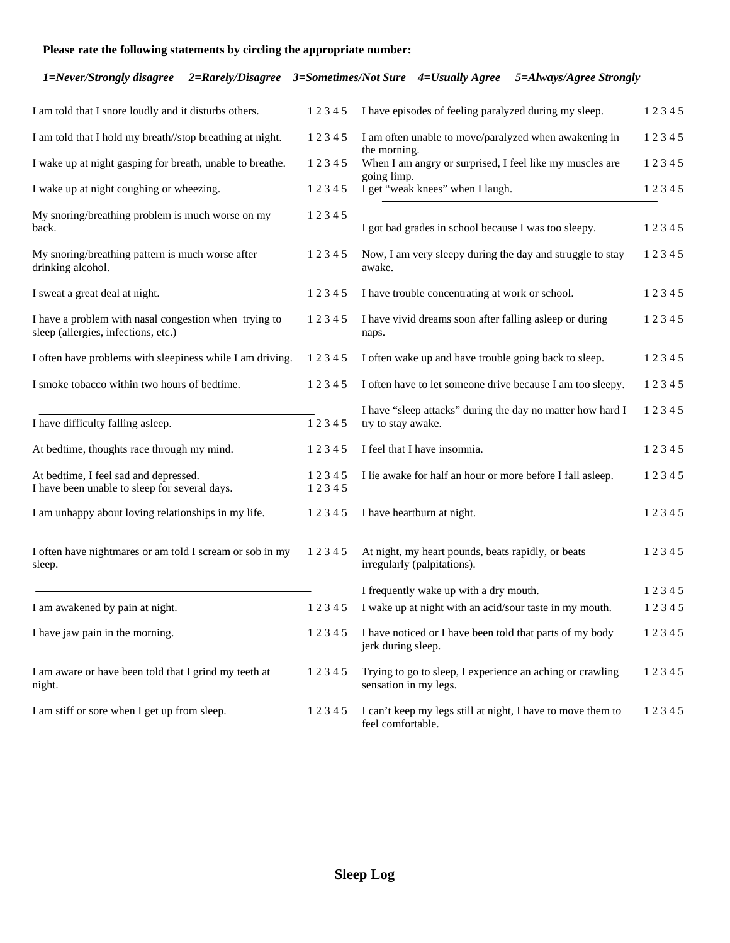## **Please rate the following statements by circling the appropriate number:**

### *1=Never/Strongly disagree 2=Rarely/Disagree 3=Sometimes/Not Sure 4=Usually Agree 5=Always/Agree Strongly*

| I am told that I snore loudly and it disturbs others.                                        | 12345          | I have episodes of feeling paralyzed during my sleep.                                    | 12345 |
|----------------------------------------------------------------------------------------------|----------------|------------------------------------------------------------------------------------------|-------|
| I am told that I hold my breath//stop breathing at night.                                    | 12345          | I am often unable to move/paralyzed when awakening in<br>the morning.                    | 12345 |
| I wake up at night gasping for breath, unable to breathe.                                    | 12345          | When I am angry or surprised, I feel like my muscles are                                 | 12345 |
| I wake up at night coughing or wheezing.                                                     | 12345          | going limp.<br>I get "weak knees" when I laugh.                                          | 12345 |
| My snoring/breathing problem is much worse on my<br>back.                                    | 12345          | I got bad grades in school because I was too sleepy.                                     | 12345 |
| My snoring/breathing pattern is much worse after<br>drinking alcohol.                        | 12345          | Now, I am very sleepy during the day and struggle to stay<br>awake.                      | 12345 |
| I sweat a great deal at night.                                                               | 12345          | I have trouble concentrating at work or school.                                          | 12345 |
| I have a problem with nasal congestion when trying to<br>sleep (allergies, infections, etc.) | 12345          | I have vivid dreams soon after falling asleep or during<br>naps.                         | 12345 |
| I often have problems with sleepiness while I am driving.                                    | 12345          | I often wake up and have trouble going back to sleep.                                    | 12345 |
| I smoke tobacco within two hours of bedtime.                                                 | 12345          | I often have to let someone drive because I am too sleepy.                               | 12345 |
| I have difficulty falling asleep.                                                            | 12345          | I have "sleep attacks" during the day no matter how hard I<br>try to stay awake.         | 12345 |
| At bedtime, thoughts race through my mind.                                                   | 12345          | I feel that I have insomnia.                                                             | 12345 |
| At bedtime, I feel sad and depressed.<br>I have been unable to sleep for several days.       | 12345<br>12345 | I lie awake for half an hour or more before I fall asleep.                               | 12345 |
| I am unhappy about loving relationships in my life.                                          | 12345          | I have heartburn at night.                                                               | 12345 |
| I often have nightmares or am told I scream or sob in my<br>sleep.                           | 12345          | At night, my heart pounds, beats rapidly, or beats<br>irregularly (palpitations).        | 12345 |
|                                                                                              |                | I frequently wake up with a dry mouth.                                                   | 12345 |
| I am awakened by pain at night.                                                              | 12345          | I wake up at night with an acid/sour taste in my mouth.                                  | 12345 |
| I have jaw pain in the morning.                                                              |                | 1 2 3 4 5 I have noticed or I have been told that parts of my body<br>jerk during sleep. | 12345 |
| I am aware or have been told that I grind my teeth at<br>night.                              | 12345          | Trying to go to sleep, I experience an aching or crawling<br>sensation in my legs.       | 12345 |
| I am stiff or sore when I get up from sleep.                                                 | 12345          | I can't keep my legs still at night, I have to move them to<br>feel comfortable.         | 12345 |